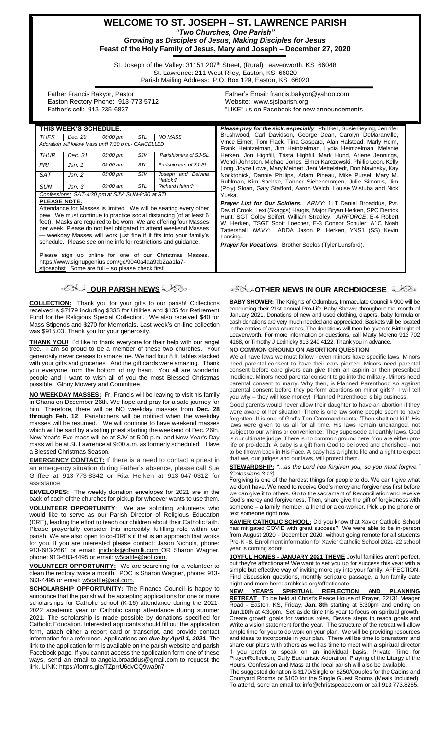**WELCOME TO ST. JOSEPH – ST. LAWRENCE PARISH** *"Two Churches, One Parish" Growing as Disciples of Jesus; Making Disciples for Jesus* **Feast of the Holy Family of Jesus, Mary and Joseph – December 27, 2020**

St. Joseph of the Valley: 31151 207<sup>th</sup> Street, (Rural) Leavenworth, KS 66048 St. Lawrence: 211 West Riley, Easton, KS 66020 Parish Mailing Address: P.O. Box 129, Easton, KS 66020

 Father Francis Bakyor, Pastor Easton Rectory Phone: 913-773-5712 Father's cell: 913-235-6837

Father's Email*:* francis.bakyor@yahoo.com Website: [www.sjslparish.org](http://www.sjslparish.org/) "LIKE" us on Facebook for new announcements

| THIS WEEK'S SCHEDULE:                                                                                                                                                                                                                                                                                                                                                                                                                          |         |          |     |                                             | <b>Please pray for the sick, especially:</b> Phil Bell, Susie Beying, Jennifer                                                                                                                                                                                                                                                                                                                                        |
|------------------------------------------------------------------------------------------------------------------------------------------------------------------------------------------------------------------------------------------------------------------------------------------------------------------------------------------------------------------------------------------------------------------------------------------------|---------|----------|-----|---------------------------------------------|-----------------------------------------------------------------------------------------------------------------------------------------------------------------------------------------------------------------------------------------------------------------------------------------------------------------------------------------------------------------------------------------------------------------------|
| TUES                                                                                                                                                                                                                                                                                                                                                                                                                                           | Dec. 29 | 06:00 pm | STL | <b>NO MASS</b>                              | Brushwood, Carl Davidson, George Dean, Carolyn DeMaranville,                                                                                                                                                                                                                                                                                                                                                          |
| Adoration will follow Mass until 7:30 p.m.- CANCELLED                                                                                                                                                                                                                                                                                                                                                                                          |         |          |     |                                             | Vince Eimer, Tom Flack, Tina Gaspard, Alan Halstead, Marly Heim,<br>Frank Heintzelman, Jim Heintzelman, Lydia Heintzelman, Melanie                                                                                                                                                                                                                                                                                    |
| THUR                                                                                                                                                                                                                                                                                                                                                                                                                                           | Dec. 31 | 05:00 pm | SJV | Parishioners of SJ-SL                       | Herken, Jon Highfill, Trista Highfill, Mark Hund, Arlene Jennings,<br>Wendi Johnston, Michael Jones, Elmer Karczewski, Phillip Leon, Kelly<br>Long, Joyce Lowe, Mary Meinert, Jeni Mettelstedt, Don Navinsky, Kay                                                                                                                                                                                                     |
| FRI                                                                                                                                                                                                                                                                                                                                                                                                                                            | Jan. 1  | 09:00 am | STL | Parishioners of SJ-SL                       |                                                                                                                                                                                                                                                                                                                                                                                                                       |
| SAT                                                                                                                                                                                                                                                                                                                                                                                                                                            | Jan. 2  | 05:00 pm | SJV | Joseph and Delvina<br>Hattok t <sup>3</sup> | Nocktonick, Dannie Phillips, Adam Pineau, Mike Pursel, Mary M.<br>Ruhlman, Kim Sachse, Tanner Siebenmorgen, Julie Simonis, Jim                                                                                                                                                                                                                                                                                        |
| <b>SUN</b>                                                                                                                                                                                                                                                                                                                                                                                                                                     | Jan. 3  | 09:00 am | STL | <i>Richard Heim</i> t <sup>2</sup>          | (Poly) Sloan, Gary Stafford, Aaron Welch, Louise Wistuba and Nick                                                                                                                                                                                                                                                                                                                                                     |
| Confessions: SAT-4:30 pm at SJV; SUN-8:30 at STL                                                                                                                                                                                                                                                                                                                                                                                               |         |          |     |                                             | Yuska.                                                                                                                                                                                                                                                                                                                                                                                                                |
| <b>PLEASE NOTE:</b><br>Attendance for Masses is limited. We will be seating every other<br>pew. We must continue to practice social distancing (of at least 6<br>feet). Masks are required to be worn. We are offering four Masses<br>per week. Please do not feel obligated to attend weekend Masses<br>— weekday Masses will work just fine if it fits into your family's<br>schedule. Please see online info for restrictions and guidance. |         |          |     |                                             | <b>Prayer List for Our Soldiers:</b> ARMY: 1LT Daniel Broaddus, Pvt.<br>David Crook, Lexi (Skaggs) Hargis, Major Bryan Herken, SPC Derrick<br>Hunt, SGT Colby Seifert, William Stradley. AIRFORCE: E-4 Robert<br>W. Herken, TSGT Scott Loecher, E-3 Connor Schuler, A1C Noah<br>Tattershall. NAVY: ADDA Jason P. Herken, YNS1 (SS) Kevin<br>Lansing.<br><b>Prayer for Vocations:</b> Brother Seelos (Tyler Lunsford). |
| Places sign up online for ano of our Christmas Messon                                                                                                                                                                                                                                                                                                                                                                                          |         |          |     |                                             |                                                                                                                                                                                                                                                                                                                                                                                                                       |

sign up online for one of our Christmas Masses. [https://www.signupgenius.com/go/9040a4aa9ab2aa1fa7-](https://www.signupgenius.com/go/9040a4aa9ab2aa1fa7-stjosephst)<br>stjosephst Some are full - so please check first! Some are full – so please check first!

# **OUR PARISH NEWS**

**COLLECTION:** Thank you for your gifts to our parish! Collections received is \$7179 including \$335 for Utilities and \$135 for Retirement Fund for the Religious Special Collection. We also received \$40 for Mass Stipends and \$270 for Memorials. Last week's on-line collection was \$915.03. Thank you for your generosity.

**THANK YOU!** I'd like to thank everyone for their help with our angel tree. I am so proud to be a member of these two churches. Your generosity never ceases to amaze me. We had four 8 ft. tables stacked with your gifts and groceries. And the gift cards were amazing. Thank you everyone from the bottom of my heart. You all are wonderful people and I want to wish all of you the most Blessed Christmas possible. Ginny Mowery and Committee

**NO WEEKDAY MASSES:** Fr. Francis will be leaving to visit his family in Ghana on December 26th. We hope and pray for a safe journey for him. Therefore, there will be NO weekday masses from **Dec. 28 through Feb. 12**. Parishioners will be notified when the weekday masses will be resumed. We will continue to have weekend masses which will be said by a visiting priest starting the weekend of Dec. 26th. New Year's Eve mass will be at SJV at 5:00 p.m. and New Year's Day mass will be at St. Lawrence at 9:00 a.m. as formerly scheduled. Have a Blessed Christmas Season.

**EMERGENCY CONTACT:** If there is a need to contact a priest in an emergency situation during Father's absence, please call Sue Griffee at 913-773-8342 or Rita Herken at 913-647-0312 for assistance.

**ENVELOPES:** The weekly donation envelopes for 2021 are in the back of each of the churches for pickup for whoever wants to use them. **VOLUNTEER OPPORTUNITY**: We are soliciting volunteers who would like to serve as our Parish Director of Religious Education (DRE), leading the effort to teach our children about their Catholic faith. Please prayerfully consider this incredibly fulfilling role within our parish. We are also open to co-DREs if that is an approach that works for you. If you are interested please contact: Jason Nichols, phone: 913-683-2661 or email: [jnichols@dfamilk.com](mailto:jnichols@dfamilk.com) OR Sharon Wagner, phone: 913-683-4495 or email: [w5cattle@aol.com.](mailto:w5cattle@aol.com)

**VOLUNTEER OPPORTUNITY:** We are searching for a volunteer to clean the rectory twice a month. POC is Sharon Wagner, phone: 913- 683-4495 or email[: w5cattle@aol.com.](mailto:w5cattle@aol.com)

**SCHOLARSHIP OPPORTUNITY:** The Finance Council is happy to announce that the parish will be accepting applications for one or more scholarships for Catholic school (K-16) attendance during the 2021- 2022 academic year or Catholic camp attendance during summer 2021. The scholarship is made possible by donations specified for Catholic Education. Interested applicants should fill out the application form, attach either a report card or transcript, and provide contact information for a reference. Applications are *due by April 1, 2021*. The link to the application form is available on the parish website and parish Facebook page. If you cannot access the application form one of these ways, send an email to [angela.broaddus@gmail.com](mailto:angela.broaddus@gmail.com) to request the link. LINK: <https://forms.gle/TZprrU6dvCQ9wa9n7>

## **OTHER NEWS IN OUR ARCHDIOCESE** A 2689

**BABY SHOWER:** The Knights of Columbus, Immaculate Council # 900 will be conducting their 21st annual Pro-Life Baby Shower throughout the month of January 2021. Donations of new and used clothing, diapers, baby formula or cash donations are very much needed and appreciated. Baskets will be located in the entries of area churches. The donations will then be given to Birthright of Leavenworth. For more information or questions, call Marty Moreno 913 702 4168, or Timothy J Lednicky 913 240 4122. Thank you in advance.

#### **NO COMMON GROUND ON ABORTION QUESTION**

We all have laws we must follow - even minors have specific laws. Minors need parental consent to have their ears pierced. Minors need parental consent before care givers can give them an aspirin or their prescribed medicine. Minors need parental consent to go into the military. Minors need parental consent to marry. Why then, is Planned Parenthood so against parental consent before they perform abortions on minor girls? I will tell you why – they will lose money! Planned Parenthood is big business.

Good parents would never allow their daughter to have an abortion if they were aware of her situation! There is one law some people seem to have forgotten. It is one of God's Ten Commandments: 'Thou shalt not kill.' His laws were given to us all for all time. His laws remain unchanged, not subject to our whims or convenience. They supersede all earthly laws. God is our ultimate judge. There is no common ground here. You are either prolife or pro-death. A baby is a gift from God to be loved and cherished - not to be thrown back in His Face. A baby has a right to life and a right to expect that we, our judges and our laws, will protect them.

**STEWARDSHIP:** *"…as the Lord has forgiven you, so you must forgive." (Colossians 3:13)*

Forgiving is one of the hardest things for people to do. We can't give what we don't have. We need to receive God's mercy and forgiveness first before we can give it to others. Go to the sacrament of Reconciliation and receive God's mercy and forgiveness. Then, share give the gift of forgiveness with someone – a family member, a friend or a co-worker. Pick up the phone or text someone right now.

**XAVIER CATHOLIC SCHOOL:** Did you know that Xavier Catholic School has mitigated COVID with great success? We were able to be in-person from August 2020 - December 2020, without going remote for all students Pre-K - 8. Enrollment information for Xavier Catholic School 2021-22 school year is coming soon!

**JOYFUL HOMES - JANUARY 2021 THEME** Joyful families aren't perfect, but they're affectionate! We want to set you up for success this year with a simple but effective way of inviting more joy into your family: AFFECTION. Find discussion questions, monthly scripture passage, a fun family date night and more here: archkcks.org/affectionate

**NEW YEAR'S SPIRITUAL REFLECTION AND PLANNING RETREAT** To be held at Christ's Peace House of Prayer, 22131 Meager Road - Easton, KS, Friday, **Jan. 8th** starting at 5:30pm and ending on **Jan.10th** at 4:30pm. Set aside time this year to focus on spiritual growth, Create growth goals for various roles, Devise steps to reach goals and Write a vision statement for the year. The structure of the retreat will allow ample time for you to do work on your plan. We will be providing resources and ideas to incorporate in your plan. There will be time to brainstorm and share our plans with others as well as time to meet with a spiritual director if you prefer to speak on an individual basis. Private Time for Prayer/Reflection, Daily Eucharistic Adoration, Praying of the Liturgy of the

Hours, Confession and Mass at the local parish will also be available. The suggested donation is \$170/Single or \$250/Couples for the Cabins and Courtyard Rooms or \$100 for the Single Guest Rooms (Meals Included). To attend, send an email to: info@christspeace.com or call 913.773.8255.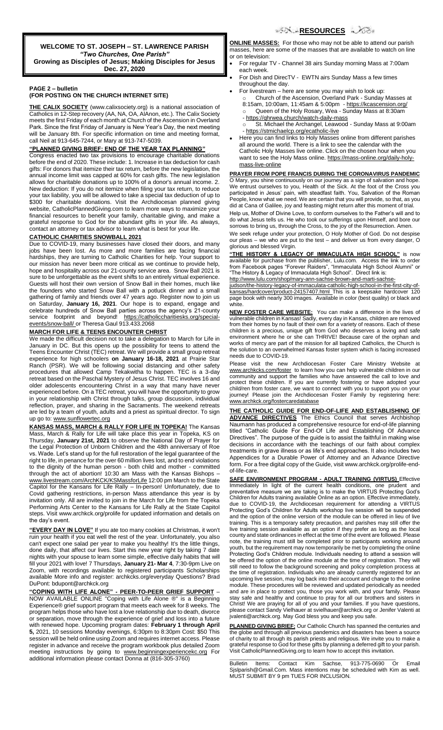**WELCOME TO ST. JOSEPH – ST. LAWRENCE PARISH** *"Two Churches, One Parish"* **Growing as Disciples of Jesus; Making Disciples for Jesus Dec. 27, 2020**

#### **PAGE 2 – bulletin (FOR POSTING ON THE CHURCH INTERNET SITE)**

**THE CALIX SOCIETY** (www.calixsociety.org) is a national association of Catholics in 12-Step recovery (AA, NA, OA, AlAnon, etc.). The Calix Society meets the first Friday of each month at Church of the Ascension in Overland Park. Since the first Friday of January is New Year's Day, the next meeting will be January 8th. For specific information on time and meeting format, call Neil at 913-645-7244, or Mary at 913-747-5039.

#### **"PLANNED GIVING BRIEF: END OF THE YEAR TAX PLANNING"**

Congress enacted two tax provisions to encourage charitable donations before the end of 2020. These include: 1. Increase in tax deduction for cash gifts: For donors that itemize their tax return, before the new legislation, the annual income limit was capped at 60% for cash gifts. The new legislation allows for charitable donations up to 100% of a donor's annual income. 2. New deduction: If you do not itemize when filing your tax return, to reduce your tax liability, you will be allowed to take a special tax deduction of up to \$300 for charitable donations. Visit the Archdiocesan planned giving website, CatholicPlannedGiving.com to learn more ways to maximize your financial resources to benefit your family, charitable giving, and make a grateful response to God for the abundant gifts in your life. As always, contact an attorney or tax advisor to learn what is best for your life.

### **CATHOLIC CHARITIES SNOWBALL 2021**

Due to COVID-19, many businesses have closed their doors, and many jobs have been lost. As more and more families are facing financial hardships, they are turning to Catholic Charities for help. Your support to our mission has never been more critical as we continue to provide help, hope and hospitality across our 21-county service area. Snow Ball 2021 is sure to be unforgettable as the event shifts to an entirely virtual experience. Guests will host their own version of Snow Ball in their homes, much like the founders who started Snow Ball with a potluck dinner and a small gathering of family and friends over 47 years ago. Register now to join us on Saturday, **January 16, 2021**. Our hope is to expand, engage and celebrate hundreds of Snow Ball parties across the agency's 21-county service footprint and beyond! [https://catholiccharitiesks.org/special](https://catholiccharitiesks.org/special-events/snow-ball/)[events/snow-ball/](https://catholiccharitiesks.org/special-events/snow-ball/) or Theresa Gaul 913.433.2068

### **MARCH FOR LIFE & TEENS ENCOUNTER CHRIST**

We made the difficult decision not to take a delegation to March for Life in January in DC. But this opens up the possibility for teens to attend the Teens Encounter Christ (TEC) retreat. We will provide a small group retreat experience for high schoolers **on January 16-18, 2021** at Prairie Star Ranch (PSR). We will be following social distancing and other safety procedures that allowed Camp Tekakwitha to happen. TEC is a 3-day retreat based on the Paschal Mystery of Jesus Christ. TEC involves 16 and older adolescents encountering Christ in a way that many have never experienced before. On a TEC retreat, you will have the opportunity to grow in your relationship with Christ through talks, group discussion, individual reflection, prayer, and sharing in the Sacraments. The weekend retreats are led by a team of youth, adults and a priest as spiritual director. To sign up go to: [www.sunflowertec.org](http://www.sunflowertec.org/)

**KANSAS MASS, MARCH & RALLY FOR LIFE IN TOPEKA!** The Kansas Mass, March & Rally for Life will take place this year in Topeka, KS on Thursday, **January 21st, 2021** to observe the National Day of Prayer for the Legal Protection of Unborn Children and the 48th anniversary of Roe vs. Wade. Let's stand up for the full restoration of the legal guarantee of the right to life, in penance for the over 60 million lives lost, and to end violations to the dignity of the human person - both child and mother - committed through the act of abortion! 10:30 am Mass with the Kansas Bishops – www.livestream.com/ArchKCK/KSMassforLife 12:00 pm March to the State Capitol for the Kansans for Life Rally – In-person! Unfortunately, due to Covid gathering restrictions, in-person Mass attendance this year is by invitation only. All are invited to join in the March for Life from the Topeka Performing Arts Center to the Kansans for Life Rally at the State Capitol steps. Visit www.archkck.org/prolife for updated information and details on the day's event.

**"EVERY DAY IN LOVE"** If you ate too many cookies at Christmas, it won't ruin your health if you eat well the rest of the year. Unfortunately, you also can't expect one salad per year to make you healthy! It's the little things, done daily, that affect our lives. Start this new year right by taking 7 date nights with your spouse to learn some simple, effective daily habits that will fill your 2021 with love! 7 Thursdays, **January 21- Mar 4**, 7:30-9pm Live on Zoom, with recordings available to registered participants Scholarships available More info and register: archkcks.org/everyday Questions? Brad DuPont: bdupont@archkck.org

**"COPING WITH LIFE ALONE" - PEER-TO-PEER GRIEF SUPPORT** – NOW AVAILABLE ONLINE "Coping with Life Alone ®" is a Beginning Experience® grief support program that meets each week for 8 weeks. The program helps those who have lost a love relationship due to death, divorce or separation, move through the experience of grief and loss into a future with renewed hope. Upcoming program dates: **February 1 through April 5,** 2021, 10 sessions Monday evenings, 6:30pm to 8:30pm Cost: \$50 This session will be held online using Zoom and requires internet access. Please register in advance and receive the program workbook plus detailed Zoom meeting instructions by going to www.beginningexperiencekc.org For additional information please contact Donna at (816-305-3760)

**ONLINE MASSES:** For those who may not be able to attend our parish masses, here are some of the masses that are available to watch on line or on television:

- For regular TV Channel 38 airs Sunday morning Mass at 7:00am each week.
- For Dish and DirecTV EWTN airs Sunday Mass a few times throughout the day.
- For livestream here are some you may wish to look up: Church of the Ascension, Overland Park - Sunday Masses at 8:15am, 10:00am, 11:45am & 5:00pm - <https://kcascension.org/>
	- o Queen of the Holy Rosary, Wea Sunday Mass at 8:30am
	- <https://qhrwea.church/watch-daily-mass> o St. Michael the Archangel, Leawood - Sunday Mass at 9:00am - <https://stmichaelcp.org/ecatholic-live>
- Here you can find links to Holy Masses online from different parishes all around the world. There is a link to see the calendar with the Catholic Holy Masses live online. Click on the chosen hour when you want to see the Holy Mass online[. https://mass-online.org/daily-holy](https://mass-online.org/daily-holy-mass-live-online)[mass-live-online](https://mass-online.org/daily-holy-mass-live-online)

**PRAYER FROM POPE FRANCIS DURING THE CORONAVIRUS PANDEMIC** O Mary, you shine continuously on our journey as a sign of salvation and hope. We entrust ourselves to you, Health of the Sick. At the foot of the Cross you participated in Jesus' pain, with steadfast faith. You, Salvation of the Roman People, know what we need. We are certain that you will provide, so that, as you did at Cana of Galilee, joy and feasting might return after this moment of trial.

Help us, Mother of Divine Love, to conform ourselves to the Father's will and to do what Jesus tells us. He who took our sufferings upon Himself, and bore our sorrows to bring us, through the Cross, to the joy of the Resurrection. Amen.

We seek refuge under your protection, O Holy Mother of God. Do not despise our pleas – we who are put to the test – and deliver us from every danger, O glorious and blessed Virgin.

**"THE HISTORY & LEGACY OF IMMACULATA HIGH SCHOOL"** is now available for purchase from the publisher, Lulu.com. Access the link to order from Facebook pages "Forever Raiders", "Immaculata High School Alumni" or "The History & Legacy of Immaculata High School". Direct link is: [http://www.lulu.com/shop/mary-ann-sachse-brown-and-marti-sachse-](http://www.lulu.com/shop/mary-ann-sachse-brown-and-marti-sachse-judson/the-history-legacy-of-immaculata-catholic-high-school-in-the-first-city-of-kansas/hardcover/product-24157407.html)

[judson/the-history-legacy-of-immaculata-catholic-high-school-in-the-first-city-of](http://www.lulu.com/shop/mary-ann-sachse-brown-and-marti-sachse-judson/the-history-legacy-of-immaculata-catholic-high-school-in-the-first-city-of-kansas/hardcover/product-24157407.html)[kansas/hardcover/product-24157407.html](http://www.lulu.com/shop/mary-ann-sachse-brown-and-marti-sachse-judson/the-history-legacy-of-immaculata-catholic-high-school-in-the-first-city-of-kansas/hardcover/product-24157407.html) This is a keepsake hardcover page book with nearly 300 images. Available in color (best quality) or black and white.

**NEW FOSTER CARE WEBSITE:** You can make a difference in the lives of vulnerable children in Kansas! Sadly, every day in Kansas, children are removed from their homes by no fault of their own for a variety of reasons. Each of these children is a precious, unique gift from God who deserves a loving and safe environment where he or she can THRIVE! Because care of the orphan and works of mercy are part of the mission for all baptized Catholics, the Church is the solution to an overwhelmed Kansas foster system which is facing increased needs due to COVID-19.

Please visit the new Archdiocesan Foster Care Ministry Website at [www.archkcks.com/foster](http://www.archkcks.com/foster) to learn how you can help vulnerable children in our community and support the families who have answered the call to love and protect these children. If you are currently fostering or have adopted your child/ren from foster care, we want to connect with you to support you on your journey! Please join the Archdiocesan Foster Family by registering here: [www.archkck.org/fostercaredatabase](http://www.archkck.org/fostercaredatabase)

**THE CATHOLIC GUIDE FOR END-OF-LIFE AND ESTABLISHING OF ADVANCE DIRECTIVES** The Ethics Council that serves Archbishop Naumann has produced a comprehensive resource for end-of-life planning titled "Catholic Guide For End-Of Life and Establishing Of Advance Directives". The purpose of the guide is to assist the faithful in making wise decisions in accordance with the teachings of our faith about complex treatments in grave illness or as life's end approaches. It also includes two Appendices for a Durable Power of Attorney and an Advance Directive form. For a free digital copy of the Guide, visit www.archkck.org/prolife-endof-life-care.

**SAFE ENVIRONMENT PROGRAM - ADULT TRAINING (VIRTUS)** Effective Immediately In light of the current health conditions, one prudent and preventative measure we are taking is to make the VIRTUS Protecting God's Children for Adults training available Online as an option. Effective immediately, due to COVID-19, the Archdiocesan requirement for attending a VIRTUS Protecting God's Children for Adults workshop live session will be suspended and the option of the online version of the module can be offered in lieu of live training. This is a temporary safety precaution, and parishes may still offer the live training session available as an option if they prefer as long as the local county and state ordinances in effect at the time of the event are followed. Please note, the training must still be completed prior to participants working around youth, but the requirement may now temporarily be met by completing the online Protecting God's Children module. Individuals needing to attend a session will be offered the option of the online module at the time of registration. They will still need to follow the background screening and policy completion process at the time of registration. Individuals who are already currently registered for an upcoming live session, may log back into their account and change to the online module. These procedures will be reviewed and updated periodically as needed and are in place to protect you, those you work with, and your family. Please stay safe and healthy and continue to pray for all our brothers and sisters in Christ! We are praying for all of you and your families. If you have questions, please contact Sandy Vielhauer at svielhauer@archkck.org or Jenifer Valenti at jvalenti@archkck.org. May God bless you and keep you safe.

**PLANNED GIVING BRIEF:** Our Catholic Church has spanned the centuries and the globe and through all previous pandemics and disasters has been a source of charity to all through its parish priests and religious. We invite you to make a grateful response to God for these gifts by planning a deferred gift to your parish. Visit CatholicPlannedGiving.org to learn how to accept this invitation.

\_\_\_\_\_\_\_\_\_\_\_\_\_\_\_\_\_\_\_\_\_\_\_\_\_\_\_\_\_\_\_\_\_\_\_\_\_\_\_\_\_\_\_\_\_\_\_\_\_\_\_\_\_\_\_ Bulletin Items: Contact Kim Sachse, 913-775-0690 Or Email Sjslparish@Gmail.Com. Mass intentions may be scheduled with Kim as well. MUST SUBMIT BY 9 pm TUES FOR INCLUSION.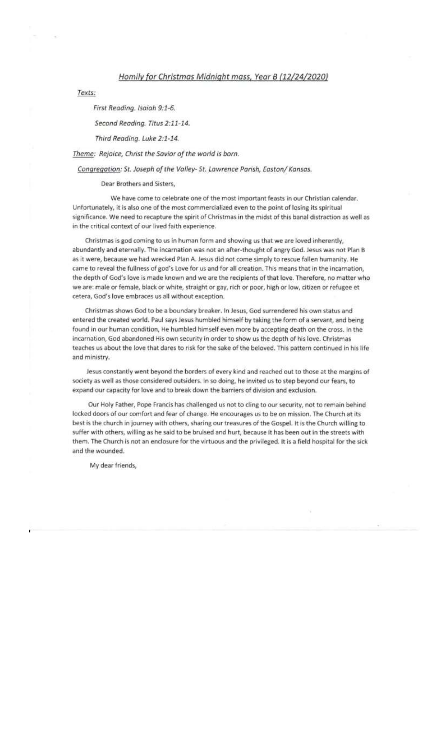## Homily for Christmas Midnight mass, Year B (12/24/2020)

Texts:

First Reading. Isaiah 9:1-6.

Second Reading. Titus 2:11-14.

Third Reading. Luke 2:1-14.

Theme: Rejoice, Christ the Savior of the world is born.

Congregation: St. Joseph of the Valley- St. Lawrence Parish, Easton/ Kansas.

Dear Brothers and Sisters.

We have come to celebrate one of the most important feasts in our Christian calendar. Unfortunately, it is also one of the most commercialized even to the point of losing its spiritual significance. We need to recapture the spirit of Christmas in the midst of this banal distraction as well as in the critical context of our lived faith experience.

Christmas is god coming to us in human form and showing us that we are loved inherently, abundantly and eternally. The incarnation was not an after-thought of angry God. Jesus was not Plan B as it were, because we had wrecked Plan A. Jesus did not come simply to rescue fallen humanity. He came to reveal the fullness of god's Love for us and for all creation. This means that in the incarnation, the depth of God's love is made known and we are the recipients of that love. Therefore, no matter who we are: male or female, black or white, straight or gay, rich or poor, high or low, citizen or refugee et cetera, God's love embraces us all without exception.

Christmas shows God to be a boundary breaker. In Jesus, God surrendered his own status and entered the created world. Paul says Jesus humbled himself by taking the form of a servant, and being found in our human condition, He humbled himself even more by accepting death on the cross. In the incarnation, God abandoned His own security in order to show us the depth of his love. Christmas teaches us about the love that dares to risk for the sake of the beloved. This pattern continued in his life and ministry.

Jesus constantly went beyond the borders of every kind and reached out to those at the margins of society as well as those considered outsiders. In so doing, he invited us to step beyond our fears, to expand our capacity for love and to break down the barriers of division and exclusion.

Our Holy Father, Pope Francis has challenged us not to cling to our security, not to remain behind locked doors of our comfort and fear of change. He encourages us to be on mission. The Church at its best is the church in journey with others, sharing our treasures of the Gospel. It is the Church willing to suffer with others, willing as he said to be bruised and hurt, because it has been out in the streets with them. The Church is not an enclosure for the virtuous and the privileged. It is a field hospital for the sick and the wounded.

My dear friends,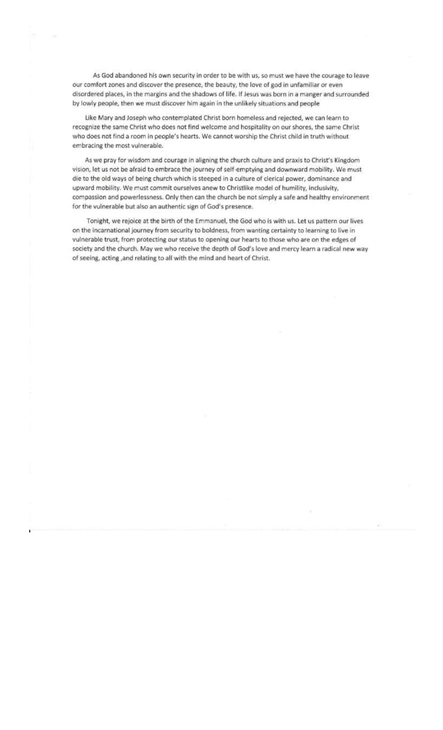As God abandoned his own security in order to be with us, so must we have the courage to leave our comfort zones and discover the presence, the beauty, the love of god in unfamiliar or even disordered places, in the margins and the shadows of life. If Jesus was born in a manger and surrounded by lowly people, then we must discover him again in the unlikely situations and people

Like Mary and Joseph who contemplated Christ born homeless and rejected, we can learn to recognize the same Christ who does not find welcome and hospitality on our shores, the same Christ who does not find a room in people's hearts. We cannot worship the Christ child in truth without embracing the most vulnerable.

As we pray for wisdom and courage in aligning the church culture and praxis to Christ's Kingdom vision, let us not be afraid to embrace the journey of self-emptying and downward mobility. We must die to the old ways of being church which is steeped in a culture of clerical power, dominance and upward mobility. We must commit ourselves anew to Christlike model of humility, inclusivity, compassion and powerlessness. Only then can the church be not simply a safe and healthy environment for the vulnerable but also an authentic sign of God's presence.

Tonight, we rejoice at the birth of the Emmanuel, the God who is with us. Let us pattern our lives on the incarnational journey from security to boldness, from wanting certainty to learning to live in vulnerable trust, from protecting our status to opening our hearts to those who are on the edges of society and the church. May we who receive the depth of God's love and mercy learn a radical new way of seeing, acting , and relating to all with the mind and heart of Christ.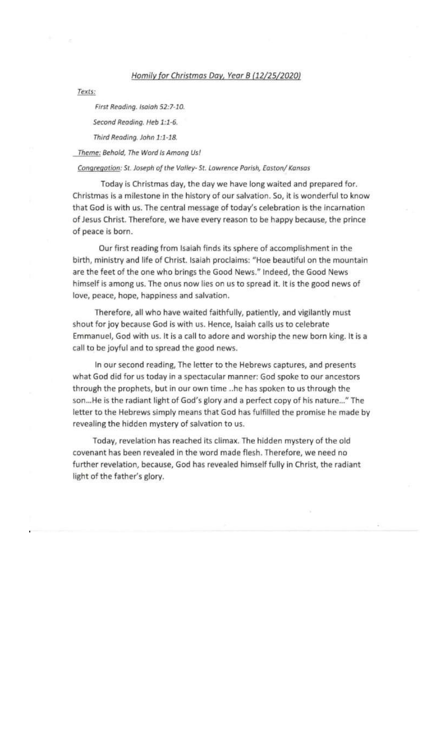# Homily for Christmas Day, Year B (12/25/2020)

Texts:

First Reading. Isaiah 52:7-10.

Second Reading. Heb 1:1-6.

Third Reading. John 1:1-18.

Theme: Behold, The Word Is Among Us!

### Congregation: St. Joseph of the Valley- St. Lawrence Parish, Easton/ Kansas

Today is Christmas day, the day we have long waited and prepared for. Christmas is a milestone in the history of our salvation. So, it is wonderful to know that God is with us. The central message of today's celebration is the incarnation of Jesus Christ. Therefore, we have every reason to be happy because, the prince of peace is born.

Our first reading from Isaiah finds its sphere of accomplishment in the birth, ministry and life of Christ. Isaiah proclaims: "Hoe beautiful on the mountain are the feet of the one who brings the Good News." Indeed, the Good News himself is among us. The onus now lies on us to spread it. It is the good news of love, peace, hope, happiness and salvation.

Therefore, all who have waited faithfully, patiently, and vigilantly must shout for joy because God is with us. Hence, Isaiah calls us to celebrate Emmanuel, God with us. It is a call to adore and worship the new born king. It is a call to be joyful and to spread the good news.

In our second reading, The letter to the Hebrews captures, and presents what God did for us today in a spectacular manner: God spoke to our ancestors through the prophets, but in our own time ..he has spoken to us through the son...He is the radiant light of God's glory and a perfect copy of his nature..." The letter to the Hebrews simply means that God has fulfilled the promise he made by revealing the hidden mystery of salvation to us.

Today, revelation has reached its climax. The hidden mystery of the old covenant has been revealed in the word made flesh. Therefore, we need no further revelation, because, God has revealed himself fully in Christ, the radiant light of the father's glory.